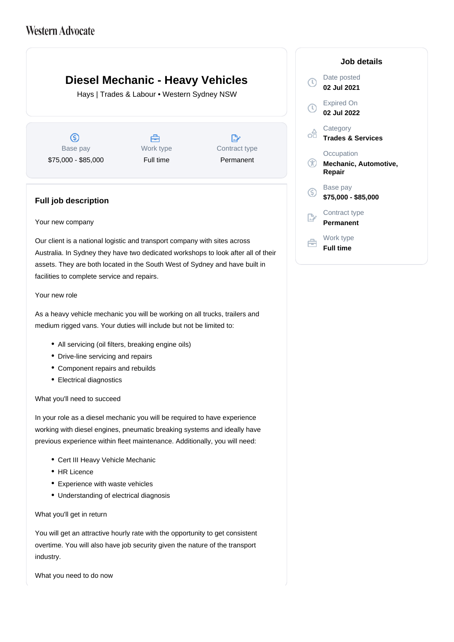# **Western Advocate**

# **Diesel Mechanic - Heavy Vehicles**

Hays | Trades & Labour • Western Sydney NSW

 $\circledS$ Base pay \$75,000 - \$85,000

Å Work type Full time

 $\mathbb{R}^*$ Contract type Permanent

# **Full job description**

### Your new company

Our client is a national logistic and transport company with sites across Australia. In Sydney they have two dedicated workshops to look after all of their assets. They are both located in the South West of Sydney and have built in facilities to complete service and repairs.

## Your new role

As a heavy vehicle mechanic you will be working on all trucks, trailers and medium rigged vans. Your duties will include but not be limited to:

- All servicing (oil filters, breaking engine oils)
- Drive-line servicing and repairs
- Component repairs and rebuilds
- Electrical diagnostics

### What you'll need to succeed

In your role as a diesel mechanic you will be required to have experience working with diesel engines, pneumatic breaking systems and ideally have previous experience within fleet maintenance. Additionally, you will need:

- Cert III Heavy Vehicle Mechanic
- HR Licence
- Experience with waste vehicles
- Understanding of electrical diagnosis

### What you'll get in return

You will get an attractive hourly rate with the opportunity to get consistent overtime. You will also have job security given the nature of the transport industry.

What you need to do now

### **Job details** Date posted  $\mathbb{C}$ **02 Jul 2021** Expired On  $\left( 0\right)$ **02 Jul 2022 Category** œ **Trades & Services Occupation**  $^{\circledR}$ **Mechanic, Automotive, Repair** Base pay <sub>(S)</sub> **\$75,000 - \$85,000** Contract type **Permanent** Work type 户 **Full time**